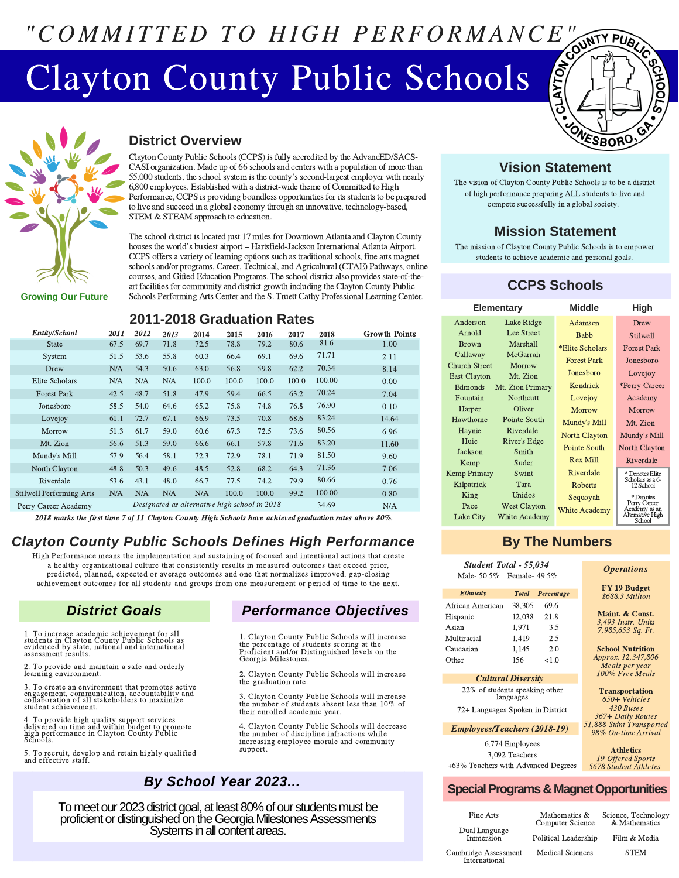# "COMMITTED TO HIGH PERFORMANCE"

## Clayton County Public Schools



**District Overview**

Clayton County Public Schools(CCPS) isfully accredited by the AdvancED/SACS-CASI organization. Made up of 66 schools and centers with a population of more than 55,000 students, the school system is the county's second-largest employer with nearly 6,800 employees. Established with a district-wide theme of Committed to High Performance, CCPS is providing boundless opportunities for its students to be prepared to live and succeed in a global economy through an innovative, technology-based, STEM & STEAM approach to education. to live and succeed in a global economy through an innovative, technology-based,<br>STEM & STEAM approach to education.<br>The school district is located just 17 miles for Downtown Atlanta and Clayton Count<br>houses the world's bu

The school district is located just 17 miles for Downtown Atlanta and Clayton County houses the world's busiest airport - Hartsfield-Jackson International Atlanta Airport.<br>CCPS offers a variety of learning options such as traditional schools, fine arts magnet schools and/or programs, Career, Technical, and Agricultural (CTAE) Pathways, online courses, and Gifted Education Programs. The school district also provides state-of-theart facilities for community and district growth including the Clayton County Public Schools Performing Arts Center and the S. Truett Cathy Professional Learning Center.

**Growing Our Future**

### **2011-2018 Graduation Rates**

| Entity/School            | 2011 | 2012 | 2013 | 2014                                          | 2015  | 2016  | 2017  | 2018   | <b>Growth Points</b> |
|--------------------------|------|------|------|-----------------------------------------------|-------|-------|-------|--------|----------------------|
| <b>State</b>             | 67.5 | 69.7 | 71.8 | 72.5                                          | 78.8  | 79.2  | 80.6  | 81.6   | 1.00                 |
| System                   | 51.5 | 53.6 | 55.8 | 60.3                                          | 66.4  | 69.1  | 69.6  | 71.71  | 2.11                 |
| Drew                     | N/A  | 54.3 | 50.6 | 63.0                                          | 56.8  | 59.8  | 62.2  | 70.34  | 8.14                 |
| Elite Scholars           | N/A  | N/A  | N/A  | 100.0                                         | 100.0 | 100.0 | 100.0 | 100.00 | 0.00                 |
| <b>Forest Park</b>       | 42.5 | 48.7 | 51.8 | 47.9                                          | 59.4  | 66.5  | 63.2  | 70.24  | 7.04                 |
| Jonesboro                | 58.5 | 54.0 | 64.6 | 65.2                                          | 75.8  | 74.8  | 76.8  | 76.90  | 0.10                 |
| Lovejoy                  | 61.1 | 72.7 | 67.1 | 66.9                                          | 73.5  | 70.8  | 68.6  | 83.24  | 14.64                |
| Morrow                   | 51.3 | 61.7 | 59.0 | 60.6                                          | 67.3  | 72.5  | 73.6  | 80.56  | 6.96                 |
| Mt. Zion                 | 56.6 | 51.3 | 59.0 | 66.6                                          | 66.1  | 57.8  | 71.6  | 83.20  | 11.60                |
| Mundy's Mill             | 57.9 | 56.4 | 58.1 | 72.3                                          | 72.9  | 78.1  | 71.9  | 81.50  | 9.60                 |
| North Clayton            | 48.8 | 50.3 | 49.6 | 48.5                                          | 52.8  | 68.2  | 64.3  | 71.36  | 7.06                 |
| Riverdale                | 53.6 | 43.1 | 48.0 | 66.7                                          | 77.5  | 74.2  | 79.9  | 80.66  | 0.76                 |
| Stilwell Performing Arts | N/A  | N/A  | N/A  | N/A                                           | 100.0 | 100.0 | 99.2  | 100.00 | 0.80                 |
| Perry Career Academy     |      |      |      | Designated as alternative high school in 2018 |       |       |       | 34.69  | N/A                  |

2018 marks the first time 7 of 11 Clayton County High Schools have achieved graduation rates above 80%.

## *Clayton County Public Schools Defines High Performance*

High Performance means the implementation and sustaining of focused and intentional actions that create a healthy organizational culture that consistently results in measured outcomes that exceed prior, predicted, planned, expected or average outcomes and one that normalizes improved, gap-closing achievement outcomes for all students and groups from one measurement or period of time to the next.

### *District Goals*

1. To increase academic achievement for all students in Clayton County Public Schools as evidenced by state, national and international assessment results.

To provide and maintain a safe and orderly learning environment.

3. To create an environment that promotes active engagement, communication, accountability and collaboration of all stakeholders to maximize student achievement.

4. To provide high quality support services delivered on time and within budget to promote high performance in Clayton County Public Schools.

5. To recruit, develop and retain highly qualified and effective staff.

## *Performance Objectives*

1. Clayton County Public Schools will increase the percentage of students scoring at the Proficient and/or Distinguished levels on the Georgia Milestones.

2. Clayton County Public Schools will increase the graduation rate

3. Clayton County Public Schools will increase the number of students absent less than 10% of their enrolled academic year.

4. Clayton County Public Schools will decrease the number of discipline infractions while increasing employee morale and community support.

## *By School Year 2023...*

To meet our 2023 district goal, at least 80% of our students must be proficient or distinguished on the Georgia Milestones Assessments Systems in all content areas.



#### **Vision Statement**

The vision of Clayton County Public Schools is to be a district of high performance preparing ALL students to live and compete successfully in a global society.

#### **Mission Statement**

The mission of Clayton County Public Schools is to empower students to achieve academic and personal goals.

## **CCPS Schools**

|                      | Elementary          | Middle               | High                          |
|----------------------|---------------------|----------------------|-------------------------------|
| Anderson             | Lake Ridge          | Adamson              | Drew                          |
| Arnold               | Lee Street          | <b>Babb</b>          | Stilwell                      |
| <b>Brown</b>         | Marshall            | *Elite Scholars      | <b>Forest Park</b>            |
| Callaway             | McGarrah            | <b>Forest Park</b>   | Jonesboro                     |
| <b>Church Street</b> | Morrow              | Jonesboro            | Lovejoy                       |
| <b>East Clayton</b>  | Mt. Zion            |                      |                               |
| Edmonds              | Mt. Zion Primary    | Kendrick             | *Perry Career                 |
| Fountain             | Northcutt           | Lovejoy              | Academy                       |
| Harper               | Oliver              | Morrow               | Morrow                        |
| Hawthorne            | Pointe South        | Mundy's Mill         | Mt. Zion                      |
| Haynie               | Riverdale           | <b>North Clayton</b> | Mundy's Mill                  |
| Huie                 | River's Edge        |                      |                               |
| Jackson              | Smith               | Pointe South         | North Clayton                 |
| Kemp                 | Suder               | <b>Rex Mill</b>      | Riverdale                     |
| <b>Kemp Primary</b>  | Swint               | Riverdale            | * Denotes Elite               |
| Kilpatrick           | Tara                | <b>Roberts</b>       | Scholars as a 6-<br>12 School |
| King                 | Unidos              | Sequoyah             | * Denotes                     |
| Pace                 | <b>West Clayton</b> | <b>White Academy</b> | Perry Career<br>Academy as an |
| Lake City            | White Academy       |                      | Alternative High<br>School    |

## **By The Numbers**

| <b>Student Total - 55,034</b><br>Male- 50.5% Female- 49.5%                 |                                                    |                                           | <i><b>Operations</b></i>                                                                                                      |
|----------------------------------------------------------------------------|----------------------------------------------------|-------------------------------------------|-------------------------------------------------------------------------------------------------------------------------------|
| Ethnicity                                                                  | <b>Total</b>                                       | Percentage                                | FY 19 Budget<br>\$688.3 Million                                                                                               |
| African American<br>Hispanic<br>Asian<br>Multiracial<br>Caucasian<br>Other | 38,305<br>12,038<br>1,971<br>1,419<br>1,145<br>156 | 69.6<br>21.8<br>3.5<br>2.5<br>2.0<br>< 10 | Maint. & Const.<br>3,493 Instr. Units<br>7,985,653 Sq. Ft.<br><b>School Nutrition</b><br>Approx. 12,347,806<br>Meals per year |
| <b>Cultural Diversity</b>                                                  |                                                    |                                           | 100% Free Meals                                                                                                               |
| 22% of students speaking other<br>72+ Languages Spoken in District         | languages                                          |                                           | <b>Transportation</b><br>650+ Vehicles<br>430 Buses<br>367+ Daily Routes                                                      |
| <b>Employees/Teachers (2018-19)</b>                                        |                                                    |                                           | 51,888 Stdnt Transported<br>98% On-time Arrival                                                                               |
| +63% Teachers with Advanced Degrees                                        | 6,774 Employees<br>3,092 Teachers                  |                                           | <b>Athletics</b><br>19 Offered Sports<br>5678 Student Athletes                                                                |
|                                                                            |                                                    |                                           | <b>Special Programs &amp; Magnet Opportunities</b>                                                                            |

| Fine Arts                             | Mathematics &<br>Computer Science | Science, Technology<br>& Mathematics |  |  |
|---------------------------------------|-----------------------------------|--------------------------------------|--|--|
| Dual Language<br>Immersion            | Political Leadership              | Film & Media                         |  |  |
| Cambridge Assessment<br>International | <b>Medical Sciences</b>           | <b>STEM</b>                          |  |  |